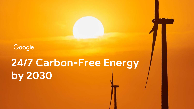Google

# 24/7 Carbon-Free Energy by 2030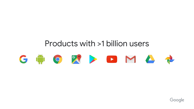## Products with >1 billion users



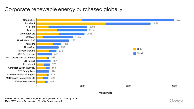#### Corporate renewable energy purchased globally



Note: BNEF rates solar capacity in DC, while Google uses AC

000ګ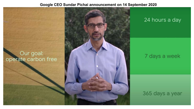#### **Google CEO Sundar Pichai announcement on 14 September 2020**

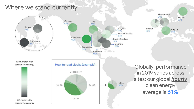## Where we stand currently



Globally, performance in 2019 varies across sites; our global *hourly* clean energy average is 61%

Netherlands

Finland  $77%$ 

Belgium

68%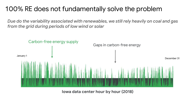## 100% RE does not fundamentally solve the problem

*Due do the variability associated with renewables, we still rely heavily on coal and gas from the grid during periods of low wind or solar* 



Iowa data center hour by hour (2018)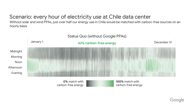## Scenario: every hour of electricity use at Chile data center

Without solar and wind PPAs, just over half our energy use in Chile would be matched with carbon-free sources on an hourly basis



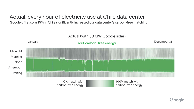### Actual: every hour of electricity use at Chile data center

Google's first solar PPA in Chile significantly increased our data center's carbon-free matching



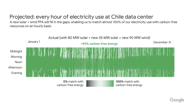## Projected: every hour of electricity use at Chile data center

A new solar + wind PPA will fill in the gaps, enabling us to match almost 100% of our electricity use with carbon-free resources on an hourly basis



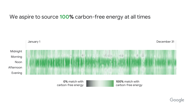#### We aspire to source **100%** carbon-free energy at all times



carbon-free energy

carbon-free energy

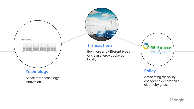

#### **Technology**

Accelerate technology innovation.



#### **Transactions**

Buy more and different types of clean energy deployed locally.



#### **Policy**

Advocating for policy changes to decarbonize electricity grids.